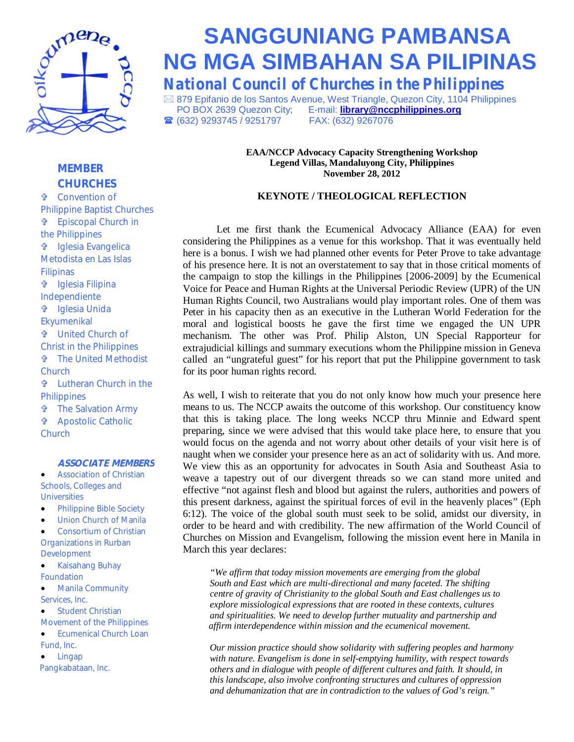

# **SANGGUNIANG PAMBANSA NG MGA SIMBAHAN SA PILIPINAS**

*National Council of Churches in the Philippines*

⊠ 879 Epifanio de los Santos Avenue, West Triangle, Quezon City, 1104 Philippines<br>PO BOX 2639 Quezon City; E-mail: library@nccphilippines.org **E-mail: library@nccphilippines.org ■ (632) 9293745 / 9251797 FAX: (632) 9267076** 

> **EAA/NCCP Advocacy Capacity Strengthening Workshop Legend Villas, Mandaluyong City, Philippines November 28, 2012**

### **KEYNOTE / THEOLOGICAL REFLECTION**

Let me first thank the Ecumenical Advocacy Alliance (EAA) for even considering the Philippines as a venue for this workshop. That it was eventually held here is a bonus. I wish we had planned other events for Peter Prove to take advantage of his presence here. It is not an overstatement to say that in those critical moments of the campaign to stop the killings in the Philippines [2006-2009] by the Ecumenical Voice for Peace and Human Rights at the Universal Periodic Review (UPR) of the UN Human Rights Council, two Australians would play important roles. One of them was Peter in his capacity then as an executive in the Lutheran World Federation for the moral and logistical boosts he gave the first time we engaged the UN UPR mechanism. The other was Prof. Philip Alston, UN Special Rapporteur for extrajudicial killings and summary executions whom the Philippine mission in Geneva called an "ungrateful guest" for his report that put the Philippine government to task for its poor human rights record.

As well, I wish to reiterate that you do not only know how much your presence here means to us. The NCCP awaits the outcome of this workshop. Our constituency know that this is taking place. The long weeks NCCP thru Minnie and Edward spent preparing, since we were advised that this would take place here, to ensure that you would focus on the agenda and not worry about other details of your visit here is of naught when we consider your presence here as an act of solidarity with us. And more. We view this as an opportunity for advocates in South Asia and Southeast Asia to weave a tapestry out of our divergent threads so we can stand more united and effective "not against flesh and blood but against the rulers, authorities and powers of this present darkness, against the spiritual forces of evil in the heavenly places" (Eph 6:12). The voice of the global south must seek to be solid, amidst our diversity, in order to be heard and with credibility. The new affirmation of the World Council of Churches on Mission and Evangelism, following the mission event here in Manila in March this year declares:

*"We affirm that today mission movements are emerging from the global South and East which are multi-directional and many faceted. The shifting centre of gravity of Christianity to the global South and East challenges us to explore missiological expressions that are rooted in these contexts, cultures and spiritualities. We need to develop further mutuality and partnership and affirm interdependence within mission and the ecumenical movement.* 

*"that all may be one" and dehumanization that are in contradiction to the values of God's reign."Our mission practice should show solidarity with suffering peoples and harmony with nature. Evangelism is done in self-emptying humility, with respect towards others and in dialogue with people of different cultures and faith. It should, in this landscape, also involve confronting structures and cultures of oppression* 

# *MEMBER CHURCHES*

 Convention of Philippine Baptist Churches Episcopal Church in the Philippines Iglesia Evangelica Metodista en Las Islas Filipinas Iglesia Filipina Independiente Iglesia Unida Ekyumenikal United Church of Christ in the Philippines The United Methodist **Church**  Lutheran Church in the **Philippines The Salvation Army**  Apostolic Catholic **Church** 

#### *ASSOCIATE MEMBERS*

 Association of Christian Schools, Colleges and **Universities** 

- **•** Philippine Bible Society
- **•** Union Church of Manila
- Consortium of Christian Organizations in Rurban Development
- Kaisahang Buhay Foundation
- **•** Manila Community Services, Inc.
- Student Christian

Movement of the Philippines

- **•** Ecumenical Church Loan Fund, Inc.
- Lingap Pangkabataan, Inc.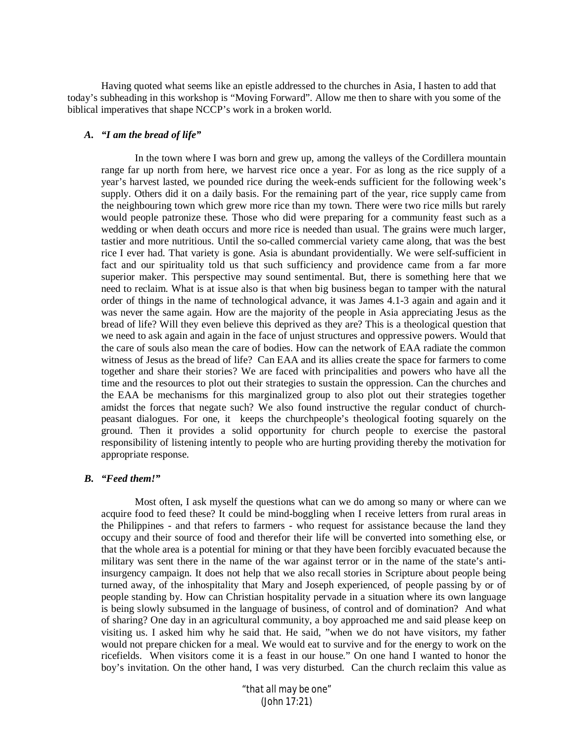Having quoted what seems like an epistle addressed to the churches in Asia, I hasten to add that today's subheading in this workshop is "Moving Forward". Allow me then to share with you some of the biblical imperatives that shape NCCP's work in a broken world.

#### *A. "I am the bread of life"*

In the town where I was born and grew up, among the valleys of the Cordillera mountain range far up north from here, we harvest rice once a year. For as long as the rice supply of a year's harvest lasted, we pounded rice during the week-ends sufficient for the following week's supply. Others did it on a daily basis. For the remaining part of the year, rice supply came from the neighbouring town which grew more rice than my town. There were two rice mills but rarely would people patronize these. Those who did were preparing for a community feast such as a wedding or when death occurs and more rice is needed than usual. The grains were much larger, tastier and more nutritious. Until the so-called commercial variety came along, that was the best rice I ever had. That variety is gone. Asia is abundant providentially. We were self-sufficient in fact and our spirituality told us that such sufficiency and providence came from a far more superior maker. This perspective may sound sentimental. But, there is something here that we need to reclaim. What is at issue also is that when big business began to tamper with the natural order of things in the name of technological advance, it was James 4.1-3 again and again and it was never the same again. How are the majority of the people in Asia appreciating Jesus as the bread of life? Will they even believe this deprived as they are? This is a theological question that we need to ask again and again in the face of unjust structures and oppressive powers. Would that the care of souls also mean the care of bodies. How can the network of EAA radiate the common witness of Jesus as the bread of life? Can EAA and its allies create the space for farmers to come together and share their stories? We are faced with principalities and powers who have all the time and the resources to plot out their strategies to sustain the oppression. Can the churches and the EAA be mechanisms for this marginalized group to also plot out their strategies together amidst the forces that negate such? We also found instructive the regular conduct of churchpeasant dialogues. For one, it keeps the churchpeople's theological footing squarely on the ground. Then it provides a solid opportunity for church people to exercise the pastoral responsibility of listening intently to people who are hurting providing thereby the motivation for appropriate response.

#### *B. "Feed them!"*

Most often, I ask myself the questions what can we do among so many or where can we acquire food to feed these? It could be mind-boggling when I receive letters from rural areas in the Philippines - and that refers to farmers - who request for assistance because the land they occupy and their source of food and therefor their life will be converted into something else, or that the whole area is a potential for mining or that they have been forcibly evacuated because the military was sent there in the name of the war against terror or in the name of the state's antiinsurgency campaign. It does not help that we also recall stories in Scripture about people being turned away, of the inhospitality that Mary and Joseph experienced, of people passing by or of people standing by. How can Christian hospitality pervade in a situation where its own language is being slowly subsumed in the language of business, of control and of domination? And what of sharing? One day in an agricultural community, a boy approached me and said please keep on visiting us. I asked him why he said that. He said, "when we do not have visitors, my father would not prepare chicken for a meal. We would eat to survive and for the energy to work on the ricefields. When visitors come it is a feast in our house." On one hand I wanted to honor the boy's invitation. On the other hand, I was very disturbed. Can the church reclaim this value as

> *"that all may be one" (John 17:21)*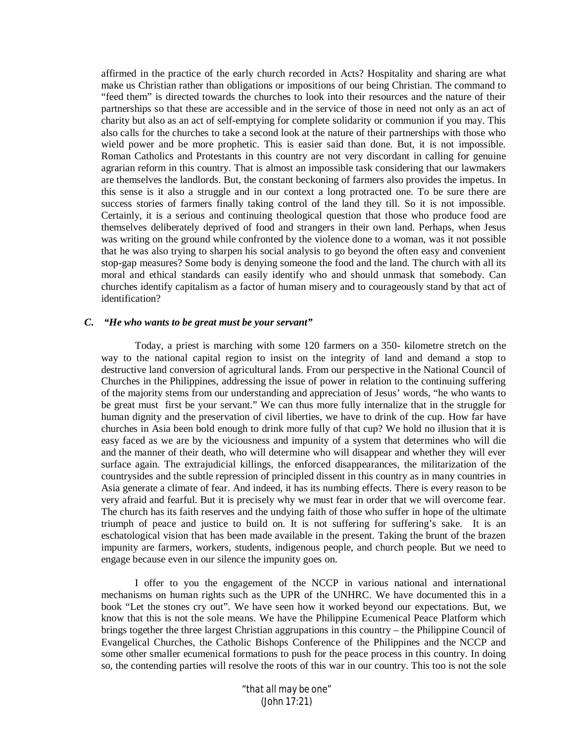affirmed in the practice of the early church recorded in Acts? Hospitality and sharing are what make us Christian rather than obligations or impositions of our being Christian. The command to "feed them" is directed towards the churches to look into their resources and the nature of their partnerships so that these are accessible and in the service of those in need not only as an act of charity but also as an act of self-emptying for complete solidarity or communion if you may. This also calls for the churches to take a second look at the nature of their partnerships with those who wield power and be more prophetic. This is easier said than done. But, it is not impossible. Roman Catholics and Protestants in this country are not very discordant in calling for genuine agrarian reform in this country. That is almost an impossible task considering that our lawmakers are themselves the landlords. But, the constant beckoning of farmers also provides the impetus. In this sense is it also a struggle and in our context a long protracted one. To be sure there are success stories of farmers finally taking control of the land they till. So it is not impossible. Certainly, it is a serious and continuing theological question that those who produce food are themselves deliberately deprived of food and strangers in their own land. Perhaps, when Jesus was writing on the ground while confronted by the violence done to a woman, was it not possible that he was also trying to sharpen his social analysis to go beyond the often easy and convenient stop-gap measures? Some body is denying someone the food and the land. The church with all its moral and ethical standards can easily identify who and should unmask that somebody. Can churches identify capitalism as a factor of human misery and to courageously stand by that act of identification?

## *C. "He who wants to be great must be your servant"*

Today, a priest is marching with some 120 farmers on a 350- kilometre stretch on the way to the national capital region to insist on the integrity of land and demand a stop to destructive land conversion of agricultural lands. From our perspective in the National Council of Churches in the Philippines, addressing the issue of power in relation to the continuing suffering of the majority stems from our understanding and appreciation of Jesus' words, "he who wants to be great must first be your servant." We can thus more fully internalize that in the struggle for human dignity and the preservation of civil liberties, we have to drink of the cup. How far have churches in Asia been bold enough to drink more fully of that cup? We hold no illusion that it is easy faced as we are by the viciousness and impunity of a system that determines who will die and the manner of their death, who will determine who will disappear and whether they will ever surface again. The extrajudicial killings, the enforced disappearances, the militarization of the countrysides and the subtle repression of principled dissent in this country as in many countries in Asia generate a climate of fear. And indeed, it has its numbing effects. There is every reason to be very afraid and fearful. But it is precisely why we must fear in order that we will overcome fear. The church has its faith reserves and the undying faith of those who suffer in hope of the ultimate triumph of peace and justice to build on. It is not suffering for suffering's sake. It is an eschatological vision that has been made available in the present. Taking the brunt of the brazen impunity are farmers, workers, students, indigenous people, and church people. But we need to engage because even in our silence the impunity goes on.

I offer to you the engagement of the NCCP in various national and international mechanisms on human rights such as the UPR of the UNHRC. We have documented this in a book "Let the stones cry out". We have seen how it worked beyond our expectations. But, we know that this is not the sole means. We have the Philippine Ecumenical Peace Platform which brings together the three largest Christian aggrupations in this country – the Philippine Council of Evangelical Churches, the Catholic Bishops Conference of the Philippines and the NCCP and some other smaller ecumenical formations to push for the peace process in this country. In doing so, the contending parties will resolve the roots of this war in our country. This too is not the sole

> *"that all may be one" (John 17:21)*